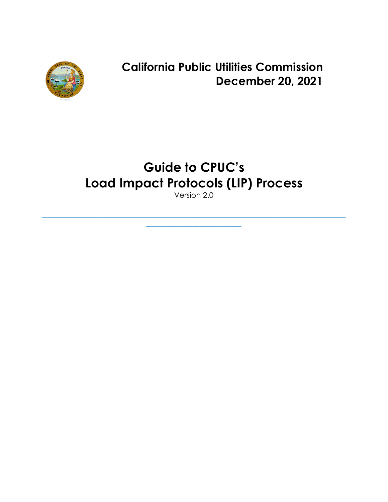

**California Public Utilities Commission December 20, 2021**

# **Guide to CPUC's Load Impact Protocols (LIP) Process**

Version 2.0

\_\_\_\_\_\_\_\_\_\_\_\_\_\_\_\_\_\_\_\_\_\_\_\_\_\_\_\_\_\_\_\_\_\_\_\_\_\_\_\_\_\_\_\_\_\_\_\_\_\_\_\_\_\_\_\_\_\_\_\_\_\_\_\_\_\_\_\_\_\_\_\_\_\_\_\_\_\_\_\_  $\_$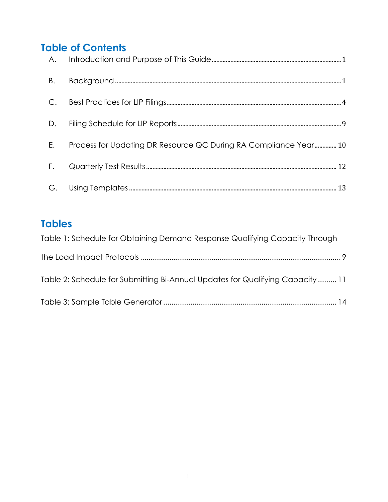# **Table of Contents**

| $E_{\rm{c}}$ | Process for Updating DR Resource QC During RA Compliance Year 10 |  |
|--------------|------------------------------------------------------------------|--|
|              |                                                                  |  |
|              |                                                                  |  |

# **Tables**

| Table 1: Schedule for Obtaining Demand Response Qualifying Capacity Through   |  |
|-------------------------------------------------------------------------------|--|
|                                                                               |  |
| Table 2: Schedule for Submitting Bi-Annual Updates for Qualifying Capacity 11 |  |
|                                                                               |  |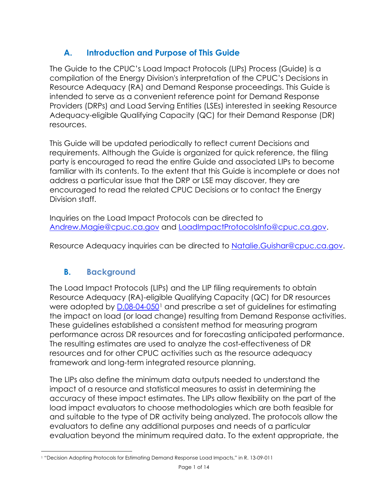### **A. Introduction and Purpose of This Guide**

<span id="page-2-0"></span>The Guide to the CPUC's Load Impact Protocols (LIPs) Process (Guide) is a compilation of the Energy Division's interpretation of the CPUC's Decisions in Resource Adequacy (RA) and Demand Response proceedings. This Guide is intended to serve as a convenient reference point for Demand Response Providers (DRPs) and Load Serving Entities (LSEs) interested in seeking Resource Adequacy-eligible Qualifying Capacity (QC) for their Demand Response (DR) resources.

This Guide will be updated periodically to reflect current Decisions and requirements. Although the Guide is organized for quick reference, the filing party is encouraged to read the entire Guide and associated LIPs to become familiar with its contents. To the extent that this Guide is incomplete or does not address a particular issue that the DRP or LSE may discover, they are encouraged to read the related CPUC Decisions or to contact the Energy Division staff.

Inquiries on the Load Impact Protocols can be directed to [Andrew.Magie@cpuc.ca.gov](mailto:Andrew.Magie@cpuc.ca.gov) and [LoadImpactProtocolsInfo@cpuc.ca.gov.](mailto:LoadImpactProtocolsInfo@cpuc.ca.gov?subject=Load%20Impact%20Protocols%20-%20%5BDRP%20Name%5D)

<span id="page-2-1"></span>Resource Adequacy inquiries can be directed to Natalie. Guishar@cpuc.ca.gov.

#### **B. Background**

The Load Impact Protocols (LIPs) and the LIP filing requirements to obtain Resource Adequacy (RA)-eligible Qualifying Capacity (QC) for DR resources were adopted by [D.08-04-050](https://docs.cpuc.ca.gov/PublishedDocs/WORD_PDF/FINAL_DECISION/81972.PDF)[1](#page-2-2) and prescribe a set of guidelines for estimating the impact on load (or load change) resulting from Demand Response activities. These guidelines established a consistent method for measuring program performance across DR resources and for forecasting anticipated performance. The resulting estimates are used to analyze the cost-effectiveness of DR resources and for other CPUC activities such as the resource adequacy framework and long-term integrated resource planning.

The LIPs also define the minimum data outputs needed to understand the impact of a resource and statistical measures to assist in determining the accuracy of these impact estimates. The LIPs allow flexibility on the part of the load impact evaluators to choose methodologies which are both feasible for and suitable to the type of DR activity being analyzed. The protocols allow the evaluators to define any additional purposes and needs of a particular evaluation beyond the minimum required data. To the extent appropriate, the

<span id="page-2-2"></span><sup>1</sup> "Decision Adopting Protocols for Estimating Demand Response Load Impacts," in R. 13-09-011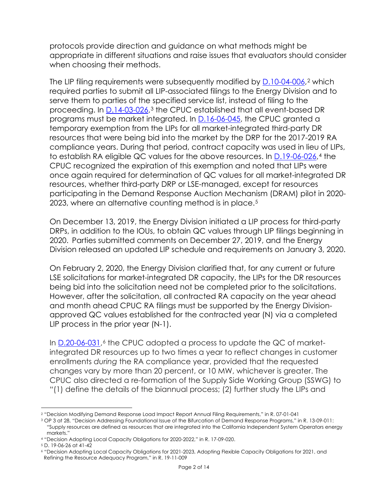protocols provide direction and guidance on what methods might be appropriate in different situations and raise issues that evaluators should consider when choosing their methods.

The LIP filing requirements were subsequently modified by [D.10-04-006,](https://docs.cpuc.ca.gov/PublishedDocs/WORD_PDF/FINAL_DECISION/116150.PDF)<sup>[2](#page-3-0)</sup> which required parties to submit all LIP-associated filings to the Energy Division and to serve them to parties of the specified service list, instead of filing to the proceeding. In [D.14-03-026,](https://docs.cpuc.ca.gov/PublishedDocs/Published/G000/M089/K480/89480849.PDF)[3](#page-3-1) the CPUC established that all event-based DR programs must be market integrated. In [D.16-06-045,](https://docs.cpuc.ca.gov/PublishedDocs/Published/G000/M164/K214/164214092.PDF) the CPUC granted a temporary exemption from the LIPs for all market-integrated third-party DR resources that were being bid into the market by the DRP for the 2017-2019 RA compliance years. During that period, contract capacity was used in lieu of LIPs, to establish RA eligible QC values for the above resources. In [D.19-06-026,](https://docs.cpuc.ca.gov/PublishedDocs/Published/G000/M309/K463/309463502.PDF)[4](#page-3-2) the CPUC recognized the expiration of this exemption and noted that LIPs were once again required for determination of QC values for all market-integrated DR resources, whether third-party DRP or LSE-managed, except for resources participating in the Demand Response Auction Mechanism (DRAM) pilot in 2020- 2023, where an alternative counting method is in place.[5](#page-3-3)

On December 13, 2019, the Energy Division initiated a LIP process for third-party DRPs, in addition to the IOUs, to obtain QC values through LIP filings beginning in 2020. Parties submitted comments on December 27, 2019, and the Energy Division released an updated LIP schedule and requirements on January 3, 2020.

On February 2, 2020, the Energy Division clarified that, for any current or future LSE solicitations for market-integrated DR capacity, the LIPs for the DR resources being bid into the solicitation need not be completed prior to the solicitations. However, after the solicitation, all contracted RA capacity on the year ahead and month ahead CPUC RA filings must be supported by the Energy Divisionapproved QC values established for the contracted year (N) via a completed LIP process in the prior year (N-1).

In [D.20-06-031,](https://docs.cpuc.ca.gov/PublishedDocs/Published/G000/M342/K083/342083913.PDF)<sup>[6](#page-3-4)</sup> the CPUC adopted a process to update the QC of marketintegrated DR resources up to two times a year to reflect changes in customer enrollments *during* the RA compliance year, provided that the requested changes vary by more than 20 percent, or 10 MW, whichever is greater. The CPUC also directed a re-formation of the Supply Side Working Group (SSWG) to "(1) define the details of the biannual process; (2) further study the LIPs and

<span id="page-3-0"></span><sup>2</sup> "Decision Modifying Demand Response Load Impact Report Annual Filing Requirements," in R. 07-01-041

<span id="page-3-1"></span><sup>3</sup> OP 3 at 28, "Decision Addressing Foundational Issue of the Bifurcation of Demand Response Programs," in R. 13-09-011: "Supply resources are defined as resources that are integrated into the California Independent System Operators energy markets."

<span id="page-3-2"></span><sup>4</sup> "Decision Adopting Local Capacity Obligations for 2020-2022," in R. 17-09-020.

<span id="page-3-3"></span><sup>5</sup> D. 19-06-26 at 41-42

<span id="page-3-4"></span><sup>6</sup> "Decision Adopting Local Capacity Obligations for 2021-2023, Adopting Flexible Capacity Obligations for 2021, and Refining the Resource Adequacy Program," in R. 19-11-009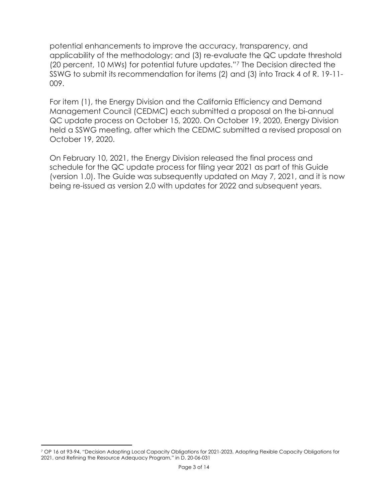potential enhancements to improve the accuracy, transparency, and applicability of the methodology; and (3) re-evaluate the QC update threshold (20 percent, 10 MWs) for potential future updates."[7](#page-4-0) The Decision directed the SSWG to submit its recommendation for items (2) and (3) into Track 4 of R. 19-11- 009.

For item (1), the Energy Division and the California Efficiency and Demand Management Council (CEDMC) each submitted a proposal on the bi-annual QC update process on October 15, 2020. On October 19, 2020, Energy Division held a SSWG meeting, after which the CEDMC submitted a revised proposal on October 19, 2020.

On February 10, 2021, the Energy Division released the final process and schedule for the QC update process for filing year 2021 as part of this Guide (version 1.0). The Guide was subsequently updated on May 7, 2021, and it is now being re-issued as version 2.0 with updates for 2022 and subsequent years.

<span id="page-4-0"></span><sup>7</sup> OP 16 at 93-94, "Decision Adopting Local Capacity Obligations for 2021-2023, Adopting Flexible Capacity Obligations for 2021, and Refining the Resource Adequacy Program," in D. 20-06-031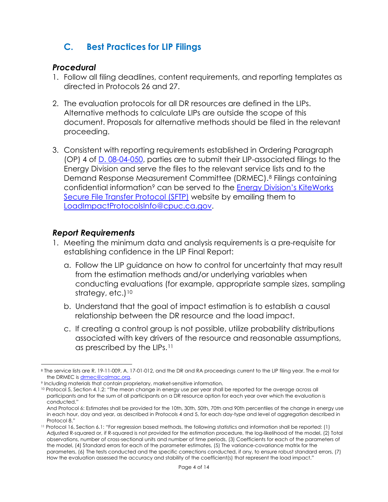## <span id="page-5-0"></span>**C. Best Practices for LIP Filings**

#### *Procedural*

- 1. Follow all filing deadlines, content requirements, and reporting templates as directed in Protocols 26 and 27.
- 2. The evaluation protocols for all DR resources are defined in the LIPs. Alternative methods to calculate LIPs are outside the scope of this document. Proposals for alternative methods should be filed in the relevant proceeding.
- 3. Consistent with reporting requirements established in Ordering Paragraph (OP) 4 of [D. 08-04-050,](https://docs.cpuc.ca.gov/PublishedDocs/WORD_PDF/FINAL_DECISION/81972.PDF) parties are to submit their LIP-associated filings to the Energy Division and serve the files to the relevant service lists and to the Demand Response Measurement Committee (DRMEC).[8](#page-5-1) Filings containing confidential information<sup>[9](#page-5-2)</sup> can be served to the Energy Division's KiteWorks [Secure File Transfer Protocol \(SFTP\)](https://www.cpuc.ca.gov/-/media/cpuc-website/files/uploadedfiles/cpuc_public_website/content/kiteworksftpexternalusersquickstartguide.pdf) website by emailing them to [LoadImpactProtocolsInfo@cpuc.ca.gov.](mailto:LoadImpactProtocolsInfo@cpuc.ca.gov?subject=Load%20Impact%20Protocol%20Filings%20-%20%5BDRP%20NAME%5D)

#### *Report Requirements*

- 1. Meeting the minimum data and analysis requirements is a pre-requisite for establishing confidence in the LIP Final Report:
	- a. Follow the LIP guidance on how to control for uncertainty that may result from the estimation methods and/or underlying variables when conducting evaluations (for example, appropriate sample sizes, sampling strategy, etc.)<sup>[10](#page-5-3)</sup>
	- b. Understand that the goal of impact estimation is to establish a causal relationship between the DR resource and the load impact.
	- c. If creating a control group is not possible, utilize probability distributions associated with key drivers of the resource and reasonable assumptions, as prescribed by the LIPs.[11](#page-5-4)

<span id="page-5-1"></span><sup>8</sup> The service lists are R. 19-11-009, A. 17-01-012, and the DR and RA proceedings current to the LIP filing year. The e-mail for the DRMEC is [drmec@calmac.org.](mailto:drmec@calmac.org)

<span id="page-5-2"></span><sup>9</sup> Including materials that contain proprietary, market-sensitive information.

<span id="page-5-3"></span><sup>10</sup> Protocol 5, Section 4.1.2: "The mean change in energy use per year shall be reported for the average across all participants and for the sum of all participants on a DR resource option for each year over which the evaluation is conducted."

And Protocol 6: Estimates shall be provided for the 10th, 30th, 50th, 70th and 90th percentiles of the change in energy use in each hour, day and year, as described in Protocols 4 and 5, for each day-type and level of aggregation described in Protocol 8."

<span id="page-5-4"></span><sup>11</sup> Protocol 16, Section 6.1: "For regression based methods, the following statistics and information shall be reported: (1) Adjusted R-squared or, if R-squared is not provided for the estimation procedure, the log-likelihood of the model, (2) Total observations, number of cross-sectional units and number of time periods, (3) Coefficients for each of the parameters of the model, (4) Standard errors for each of the parameter estimates, (5) The variance-covariance matrix for the parameters, (6) The tests conducted and the specific corrections conducted, if any, to ensure robust standard errors, (7) How the evaluation assessed the accuracy and stability of the coefficient(s) that represent the load impact."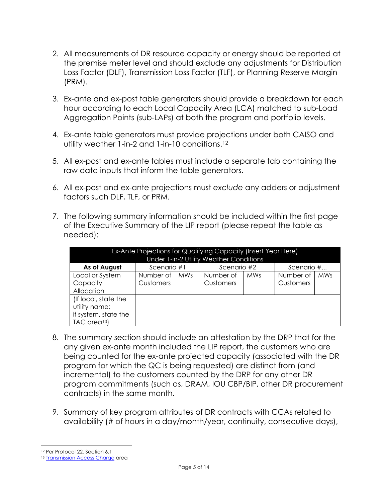- 2. All measurements of DR resource capacity or energy should be reported at the premise meter level and should exclude any adjustments for Distribution Loss Factor (DLF), Transmission Loss Factor (TLF), or Planning Reserve Margin (PRM).
- 3. Ex-ante and ex-post table generators should provide a breakdown for each hour according to each Local Capacity Area (LCA) matched to sub-Load Aggregation Points (sub-LAPs) at both the program and portfolio levels.
- 4. Ex-ante table generators must provide projections under both CAISO and utility weather 1-in-2 and 1-in-10 conditions.<sup>[12](#page-6-0)</sup>
- 5. All ex-post and ex-ante tables must include a separate tab containing the raw data inputs that inform the table generators.
- 6. All ex-post and ex-ante projections must *exclude* any adders or adjustment factors such DLF, TLF, or PRM.
- 7. The following summary information should be included within the first page of the Executive Summary of the LIP report (please repeat the table as needed):

|                                         |                  |            | Ex-Ante Projections for Qualifying Capacity (Insert Year Here) |            |            |            |  |  |  |  |
|-----------------------------------------|------------------|------------|----------------------------------------------------------------|------------|------------|------------|--|--|--|--|
| Under 1-in-2 Utility Weather Conditions |                  |            |                                                                |            |            |            |  |  |  |  |
| As of August                            | Scenario #1      |            | Scenario #2                                                    |            | Scenario # |            |  |  |  |  |
| Local or System                         | Number of        | <b>MWs</b> | Number of                                                      | <b>MWs</b> | Number of  | <b>MWs</b> |  |  |  |  |
| Capacity                                | <b>Customers</b> |            | Customers                                                      |            | Customers  |            |  |  |  |  |
| Allocation                              |                  |            |                                                                |            |            |            |  |  |  |  |
| (If local, state the                    |                  |            |                                                                |            |            |            |  |  |  |  |
| utility name;                           |                  |            |                                                                |            |            |            |  |  |  |  |
| if system, state the                    |                  |            |                                                                |            |            |            |  |  |  |  |
| TAC area <sup>13</sup> )                |                  |            |                                                                |            |            |            |  |  |  |  |

- 8. The summary section should include an attestation by the DRP that for the any given ex-ante month included the LIP report, the customers who are being counted for the ex-ante projected capacity (associated with the DR program for which the QC is being requested) are distinct from (and incremental) to the customers counted by the DRP for any other DR program commitments (such as, DRAM, IOU CBP/BIP, other DR procurement contracts) in the same month.
- 9. Summary of key program attributes of DR contracts with CCAs related to availability (# of hours in a day/month/year, continuity, consecutive days),

<span id="page-6-0"></span><sup>12</sup> Per Protocol 22, Section 6.1

<span id="page-6-1"></span><sup>&</sup>lt;sup>13</sup> [Transmission Access Charge](http://www.caiso.com/informed/Pages/StakeholderProcesses/CompletedClosedStakeholderInitiatives/TransmissionAccessChargeOptions.aspx) area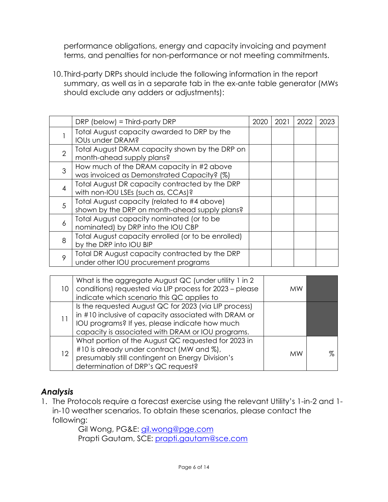performance obligations, energy and capacity invoicing and payment terms, and penalties for non-performance or not meeting commitments.

10. Third-party DRPs should include the following information in the report summary, as well as in a separate tab in the ex-ante table generator (MWs should exclude any adders or adjustments):

|                | $DRP$ (below) = Third-party DRP                                                              | 2020 | 2021 | 2022 | 2023 |
|----------------|----------------------------------------------------------------------------------------------|------|------|------|------|
|                | Total August capacity awarded to DRP by the<br>IOUs under DRAM?                              |      |      |      |      |
| $\overline{2}$ | Total August DRAM capacity shown by the DRP on<br>month-ahead supply plans?                  |      |      |      |      |
| 3              | How much of the DRAM capacity in #2 above<br>was invoiced as Demonstrated Capacity? (%)      |      |      |      |      |
| 4              | Total August DR capacity contracted by the DRP<br>with non-IOU LSEs (such as, CCAs)?         |      |      |      |      |
| 5              | Total August capacity (related to #4 above)<br>shown by the DRP on month-ahead supply plans? |      |      |      |      |
| 6              | Total August capacity nominated (or to be<br>nominated) by DRP into the IOU CBP              |      |      |      |      |
| 8              | Total August capacity enrolled (or to be enrolled)<br>by the DRP into IOU BIP                |      |      |      |      |
| 9              | Total DR August capacity contracted by the DRP<br>under other IOU procurement programs       |      |      |      |      |

| 10 | What is the aggregate August QC (under utility 1 in 2)<br>conditions) requested via LIP process for 2023 - please<br>indicate which scenario this QC applies to                                                      | МW        |  |
|----|----------------------------------------------------------------------------------------------------------------------------------------------------------------------------------------------------------------------|-----------|--|
| 11 | Is the requested August QC for 2023 (via LIP process)<br>in #10 inclusive of capacity associated with DRAM or<br>IOU programs? If yes, please indicate how much<br>capacity is associated with DRAM or IOU programs. |           |  |
| 12 | What portion of the August QC requested for 2023 in<br>#10 is already under contract (MW and %),<br>presumably still contingent on Energy Division's<br>determination of DRP's QC request?                           | <b>MW</b> |  |

#### *Analysis*

1. The Protocols require a forecast exercise using the relevant Utility's 1-in-2 and 1 in-10 weather scenarios. To obtain these scenarios, please contact the following:

Gil Wong, PG&E: [gil.wong@pge.com](mailto:gil.wong@pge.com) Prapti Gautam, SCE: [prapti.gautam@sce.com](mailto:prapti.gautam@sce.com)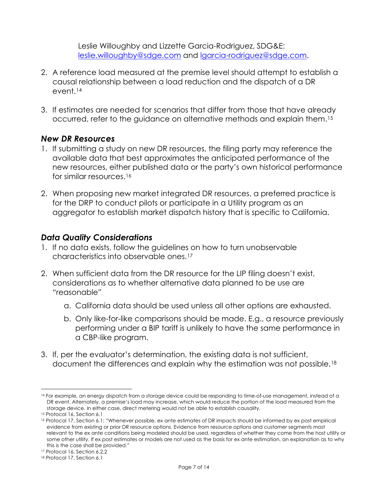Leslie Willoughby and Lizzette Garcia-Rodriguez, SDG&E: [leslie.willoughby@sdge.com](mailto:leslie.willoughby@sdge.com) and [lgarcia-rodriguez@sdge.com.](mailto:lgarcia-rodriguez@sdge.com)

- 2. A reference load measured at the premise level should attempt to establish a causal relationship between a load reduction and the dispatch of a DR event.[14](#page-8-0)
- 3. If estimates are needed for scenarios that differ from those that have already occurred, refer to the guidance on alternative methods and explain them.[15](#page-8-1)

#### *New DR Resources*

- 1. If submitting a study on new DR resources, the filing party may reference the available data that best approximates the anticipated performance of the new resources, either published data or the party's own historical performance for similar resources[.16](#page-8-2)
- 2. When proposing new market integrated DR resources, a preferred practice is for the DRP to conduct pilots or participate in a Utility program as an aggregator to establish market dispatch history that is specific to California.

#### *Data Quality Considerations*

- 1. If no data exists, follow the guidelines on how to turn unobservable characteristics into observable ones.[17](#page-8-3)
- 2. When sufficient data from the DR resource for the LIP filing doesn't exist, considerations as to whether alternative data planned to be use are "reasonable"
	- a. California data should be used unless all other options are exhausted.
	- b. Only like-for-like comparisons should be made. E.g., a resource previously performing under a BIP tariff is unlikely to have the same performance in a CBP-like program.
- 3. If, per the evaluator's determination, the existing data is not sufficient, document the differences and explain why the estimation was not possible.[18](#page-8-4)

<span id="page-8-0"></span><sup>14</sup> For example, an energy dispatch from a storage device could be responding to time-of-use management, instead of a DR event. Alternately, a premise's load may increase, which would reduce the portion of the load measured from the storage device. In either case, direct metering would not be able to establish causality.

<span id="page-8-1"></span><sup>15</sup> Protocol 16, Section 6.1

<span id="page-8-2"></span><sup>16</sup> Protocol 17, Section 6.1: "Whenever possible, ex ante estimates of DR impacts should be informed by ex post empirical evidence from existing or prior DR resource options. Evidence from resource options and customer segments most relevant to the ex ante conditions being modeled should be used, regardless of whether they come from the host utility or some other utility. If ex post estimates or models are not used as the basis for ex ante estimation, an explanation as to why this is the case shall be provided."

<span id="page-8-3"></span><sup>17</sup> Protocol 16, Section 6.2.2

<span id="page-8-4"></span><sup>18</sup> Protocol 17, Section 6.1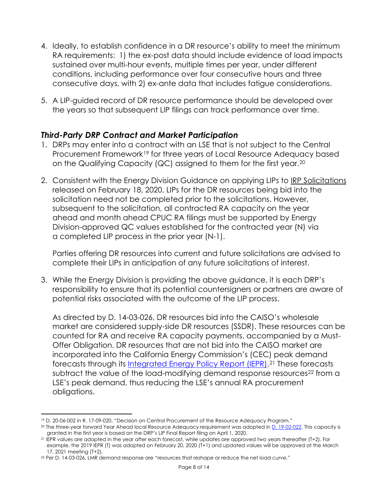- 4. Ideally, to establish confidence in a DR resource's ability to meet the minimum RA requirements: 1) the ex-post data should include evidence of load impacts sustained over multi-hour events, multiple times per year, under different conditions, including performance over four consecutive hours and three consecutive days, with 2) ex-ante data that includes fatigue considerations.
- 5. A LIP-guided record of DR resource performance should be developed over the years so that subsequent LIP filings can track performance over time.

#### *Third-Party DRP Contract and Market Participation*

- 1. DRPs may enter into a contract with an LSE that is not subject to the Central Procurement Framework<sup>[19](#page-9-0)</sup> for three years of Local Resource Adequacy based on the Qualifying Capacity (QC) assigned to them for the first year.[20](#page-9-1)
- 2. Consistent with the Energy Division Guidance on applying LIPs to [IRP Solicitations](https://www.cpuc.ca.gov/irp/) released on February 18, 2020, LIPs for the DR resources being bid into the solicitation need not be completed prior to the solicitations. However, subsequent to the solicitation, all contracted RA capacity on the year ahead and month ahead CPUC RA filings must be supported by Energy Division-approved QC values established for the contracted year (N) via a completed LIP process in the prior year (N-1).

Parties offering DR resources into current and future solicitations are advised to complete their LIPs in anticipation of any future solicitations of interest.

3. While the Energy Division is providing the above guidance, it is each DRP's responsibility to ensure that its potential countersigners or partners are aware of potential risks associated with the outcome of the LIP process.

As directed by D. [14-03-026,](https://docs.cpuc.ca.gov/PublishedDocs/Published/G000/M089/K480/89480849.PDF) DR resources bid into the CAISO's wholesale market are considered supply-side DR resources (SSDR). These resources can be counted for RA and receive RA capacity payments, accompanied by a Must-Offer Obligation. DR resources that are not bid into the CAISO market are incorporated into the California Energy Commission's (CEC) peak demand forecasts through its [Integrated Energy Policy Report \(IEPR\).](https://www.energy.ca.gov/data-reports/reports/integrated-energy-policy-report)[21](#page-9-2) These forecasts subtract the value of the load-modifying demand response resources<sup>[22](#page-9-3)</sup> from a LSE's peak demand, thus reducing the LSE's annual RA procurement obligations.

<span id="page-9-0"></span><sup>19</sup> D. 20-06-002 in R. 17-09-020, "Decision on Central Procurement of the Resource Adequacy Program."

<span id="page-9-1"></span><sup>20</sup> The three-year forward Year Ahead local Resource Adequacy requirement was adopted in [D. 19-02-022.](https://docs.cpuc.ca.gov/PublishedDocs/Published/G000/M270/K469/270469481.PDF) This capacity is granted in the first year is based on the DRP's LIP Final Report filing on April 1, 2020.

<span id="page-9-2"></span><sup>21</sup> IEPR values are adopted in the year after each forecast, while updates are approved two years thereafter (T+2). For example, the 2019 IEPR (T) was adopted on February 20, 2020 (T+1) and updated values will be approved at the March 17, 2021 meeting (T+2). 22 Per D. 14-03-026, LMR demand response are "resources that reshape or reduce the net load curve."

<span id="page-9-3"></span>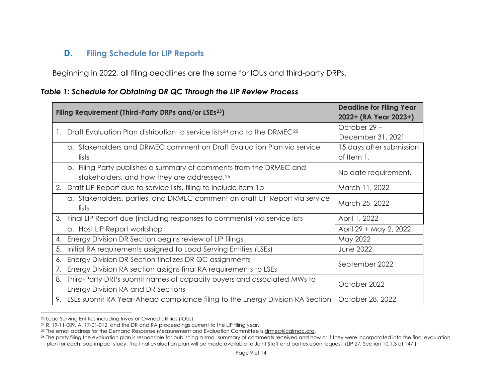#### <span id="page-10-5"></span><span id="page-10-4"></span><span id="page-10-3"></span><span id="page-10-2"></span>**D. Filing Schedule for LIP Reports**

Beginning in 2022, all filing deadlines are the same for IOUs and third-party DRPs.

#### *Table 1: Schedule for Obtaining DR QC Through the LIP Review Process*

<span id="page-10-1"></span><span id="page-10-0"></span>

|    | Filing Requirement (Third-Party DRPs and/or LSEs <sup>23</sup> )                                                              | <b>Deadline for Filing Year</b><br>2022+ (RA Year 2023+) |
|----|-------------------------------------------------------------------------------------------------------------------------------|----------------------------------------------------------|
|    | Draft Evaluation Plan distribution to service lists <sup>24</sup> and to the DRMEC <sup>25</sup>                              | October 29-                                              |
|    |                                                                                                                               | December 31, 2021                                        |
|    | g. Stakeholders and DRMEC comment on Draft Evaluation Plan via service                                                        | 15 days after submission                                 |
|    | lists                                                                                                                         | of Item 1.                                               |
|    | b. Filing Party publishes a summary of comments from the DRMEC and<br>stakeholders, and how they are addressed. <sup>26</sup> | No date requirement.                                     |
|    | 2. Draft LIP Report due to service lists, filing to include item 1b                                                           | March 11, 2022                                           |
|    | a. Stakeholders, parties, and DRMEC comment on draft LIP Report via service<br>lists                                          | March 25, 2022                                           |
|    | 3. Final LIP Report due (including responses to comments) via service lists                                                   | April 1, 2022                                            |
|    | a. Host LIP Report workshop                                                                                                   | April 29 + May 2, 2022                                   |
| 4. | Energy Division DR Section begins review of LIP filings                                                                       | May 2022                                                 |
| 5. | Initial RA requirements assigned to Load Serving Entities (LSEs)                                                              | <b>June 2022</b>                                         |
| 6. | Energy Division DR Section finalizes DR QC assignments                                                                        | September 2022                                           |
| 7. | Energy Division RA section assigns final RA requirements to LSEs                                                              |                                                          |
| 8. | Third-Party DRPs submit names of capacity buyers and associated MWs to                                                        | October 2022                                             |
|    | Energy Division RA and DR Sections                                                                                            |                                                          |
|    | 9. LSEs submit RA Year-Ahead compliance filing to the Energy Division RA Section                                              | October 28, 2022                                         |

<sup>23</sup> Load Serving Entities including Investor-Owned Utilities (IOUs)

<sup>24</sup> R. 19-11-009, A. 17-01-012, and the DR and RA proceedings current to the LIP filing year.

<sup>&</sup>lt;sup>25</sup> The email address for the Demand Response Measurement and Evaluation Committee is [drmec@calmac.org.](mailto:drmec@calmac.org)

<sup>26</sup> The party filing the evaluation plan is responsible for publishing a small summary of comments received and how or if they were incorporated into the final evaluation plan for each load impact study. The final evaluation plan will be made available to Joint Staff and parties upon request. (LIP 27, Section 10.1.3 at 147.)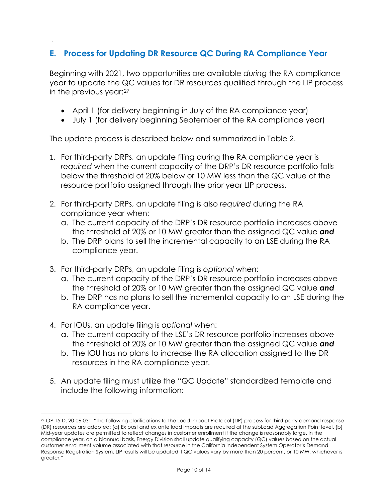#### <span id="page-11-0"></span>**E. Process for Updating DR Resource QC During RA Compliance Year**

Beginning with 2021, two opportunities are available *during* the RA compliance year to update the QC values for DR resources qualified through the LIP process in the previous year:[27](#page-11-1)

- April 1 (for delivery beginning in July of the RA compliance year)
- July 1 (for delivery beginning September of the RA compliance year)

The update process is described below and summarized in Table 2.

- 1. For third-party DRPs, an update filing during the RA compliance year is *required* when the current capacity of the DRP's DR resource portfolio falls below the threshold of 20% below or 10 MW less than the QC value of the resource portfolio assigned through the prior year LIP process.
- 2. For third-party DRPs, an update filing is also *required* during the RA compliance year when:
	- a. The current capacity of the DRP's DR resource portfolio increases above the threshold of 20% or 10 MW greater than the assigned QC value *and*
	- b. The DRP plans to sell the incremental capacity to an LSE during the RA compliance year.
- 3. For third-party DRPs, an update filing is *optional* when:
	- a. The current capacity of the DRP's DR resource portfolio increases above the threshold of 20% or 10 MW greater than the assigned QC value *and*
	- b. The DRP has no plans to sell the incremental capacity to an LSE during the RA compliance year.
- 4. For IOUs, an update filing is *optional* when:
	- a. The current capacity of the LSE's DR resource portfolio increases above the threshold of 20% or 10 MW greater than the assigned QC value *and*
	- b. The IOU has no plans to increase the RA allocation assigned to the DR resources in the RA compliance year.
- 5. An update filing must utilize the "QC Update" standardized template and include the following information:

<span id="page-11-1"></span><sup>27</sup> OP 15 D. 20-06-031: "The following clarifications to the Load Impact Protocol (LIP) process for third-party demand response (DR) resources are adopted: (a) Ex post and ex ante load impacts are required at the subLoad Aggregation Point level. (b) Mid-year updates are permitted to reflect changes in customer enrollment if the change is reasonably large. In the compliance year, on a biannual basis, Energy Division shall update qualifying capacity (QC) values based on the actual customer enrollment volume associated with that resource in the California Independent System Operator's Demand Response Registration System. LIP results will be updated if QC values vary by more than 20 percent, or 10 MW, whichever is greater."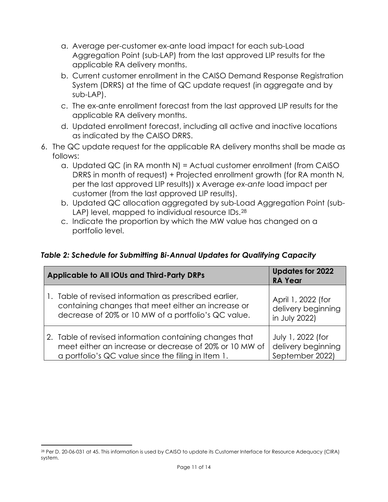- a. Average per-customer ex-ante load impact for each sub-Load Aggregation Point (sub-LAP) from the last approved LIP results for the applicable RA delivery months.
- b. Current customer enrollment in the CAISO Demand Response Registration System (DRRS) at the time of QC update request (in aggregate and by sub-LAP).
- c. The ex-ante enrollment forecast from the last approved LIP results for the applicable RA delivery months.
- d. Updated enrollment forecast, including all active and inactive locations as indicated by the CAISO DRRS.
- 6. The QC update request for the applicable RA delivery months shall be made as follows:
	- a. Updated QC (in RA month N) = Actual customer enrollment (from CAISO DRRS in month of request) + Projected enrollment growth (for RA month N, per the last approved LIP results)) x Average *ex-ante* load impact per customer (from the last approved LIP results).
	- b. Updated QC allocation aggregated by sub-Load Aggregation Point (sub-LAP) level, mapped to individual resource IDs.<sup>[28](#page-12-2)</sup>
	- c. Indicate the proportion by which the MW value has changed on a portfolio level.

#### <span id="page-12-1"></span>*Table 2: Schedule for Submitting Bi-Annual Updates for Qualifying Capacity*

| <b>Applicable to All IOUs and Third-Party DRPs</b>      | <b>Updates for 2022</b><br><b>RA Year</b> |
|---------------------------------------------------------|-------------------------------------------|
| 1. Table of revised information as prescribed earlier,  | April 1, 2022 (for                        |
| containing changes that meet either an increase or      | delivery beginning                        |
| decrease of 20% or 10 MW of a portfolio's QC value.     | in July 2022)                             |
| 2. Table of revised information containing changes that | July 1, 2022 (for                         |
| meet either an increase or decrease of 20% or 10 MW of  | delivery beginning                        |
| a portfolio's QC value since the filing in Item 1.      | September 2022)                           |

<span id="page-12-2"></span><span id="page-12-0"></span><sup>28</sup> Per D. 20-06-031 at 45. This information is used by CAISO to update its Customer Interface for Resource Adequacy (CIRA) system.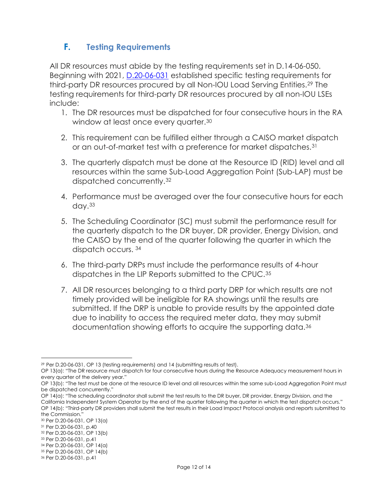#### **F. Testing Requirements**

All DR resources must abide by the testing requirements set in D.14-06-050. Beginning with 2021, **D.20-06-031** established specific testing requirements for third-party DR resources procured by all Non-IOU Load Serving Entities.[29](#page-13-0) The testing requirements for third-party DR resources procured by all non-IOU LSEs include:

- 1. The DR resources must be dispatched for four consecutive hours in the RA window at least once every quarter.<sup>[30](#page-13-1)</sup>
- 2. This requirement can be fulfilled either through a CAISO market dispatch or an out-of-market test with a preference for market dispatches.[31](#page-13-2)
- 3. The quarterly dispatch must be done at the Resource ID (RID) level and all resources within the same Sub-Load Aggregation Point (Sub-LAP) must be dispatched concurrently.[32](#page-13-3)
- 4. Performance must be averaged over the four consecutive hours for each day.[33](#page-13-4)
- 5. The Scheduling Coordinator (SC) must submit the performance result for the quarterly dispatch to the DR buyer, DR provider, Energy Division, and the CAISO by the end of the quarter following the quarter in which the dispatch occurs. [34](#page-13-5)
- 6. The third-party DRPs must include the performance results of 4-hour dispatches in the LIP Reports submitted to the CPUC.[35](#page-13-6)
- 7. All DR resources belonging to a third party DRP for which results are not timely provided will be ineligible for RA showings until the results are submitted. If the DRP is unable to provide results by the appointed date due to inability to access the required meter data, they may submit documentation showing efforts to acquire the supporting data.[36](#page-13-7)

<span id="page-13-0"></span><sup>29</sup> Per D.20-06-031, OP 13 (testing requirements) and 14 (submitting results of test).

OP 13(a): "The DR resource must dispatch for four consecutive hours during the Resource Adequacy measurement hours in every quarter of the delivery year."

OP 13(b): "The test must be done at the resource ID level and all resources within the same sub-Load Aggregation Point must be dispatched concurrently."

OP 14(a): "The scheduling coordinator shall submit the test results to the DR buyer, DR provider, Energy Division, and the California Independent System Operator by the end of the quarter following the quarter in which the test dispatch occurs." OP 14(b): "Third-party DR providers shall submit the test results in their Load Impact Protocol analysis and reports submitted to the Commission."

<span id="page-13-1"></span><sup>30</sup> Per D.20-06-031, OP 13(a)

<span id="page-13-2"></span><sup>31</sup> Per D.20-06-031, p.40

<span id="page-13-3"></span><sup>32</sup> Per D.20-06-031, OP 13(b)

<span id="page-13-4"></span><sup>33</sup> Per D.20-06-031, p.41

<span id="page-13-5"></span><sup>34</sup> Per D.20-06-031, OP 14(a) <sup>35</sup> Per D.20-06-031, OP 14(b)

<span id="page-13-7"></span><span id="page-13-6"></span><sup>36</sup> Per D.20-06-031, p.41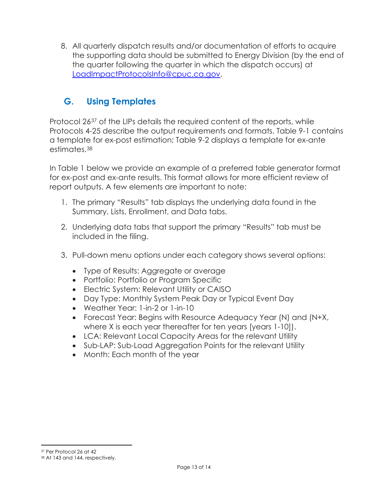8. All quarterly dispatch results and/or documentation of efforts to acquire the supporting data should be submitted to Energy Division (by the end of the quarter following the quarter in which the dispatch occurs) at [LoadImpactProtocolsInfo@cpuc.ca.gov.](mailto:LoadImpactProtocolsInfo@cpuc.ca.gov?subject=Load%20Impact%20Protocols%20Quarterly%20Test%20Results%20-%20%5BDRP%20NAME%5D)

# <span id="page-14-0"></span>**G. Using Templates**

Protocol 26[37](#page-14-1) of the LIPs details the required content of the reports, while Protocols 4-25 describe the output requirements and formats. Table 9-1 contains a template for ex-post estimation; Table 9-2 displays a template for ex-ante estimates.[38](#page-14-2)

In Table 1 below we provide an example of a preferred table generator format for ex-post and ex-ante results. This format allows for more efficient review of report outputs. A few elements are important to note:

- 1. The primary "Results" tab displays the underlying data found in the Summary, Lists, Enrollment, and Data tabs.
- 2. Underlying data tabs that support the primary "Results" tab must be included in the filing.
- 3. Pull-down menu options under each category shows several options:
	- Type of Results: Aggregate or average
	- Portfolio: Portfolio or Program Specific
	- Electric System: Relevant Utility or CAISO
	- Day Type: Monthly System Peak Day or Typical Event Day
	- Weather Year: 1-in-2 or 1-in-10
	- Forecast Year: Begins with Resource Adequacy Year (N) and (N+X, where X is each year thereafter for ten years [years 1-10]).
	- LCA: Relevant Local Capacity Areas for the relevant Utility
	- Sub-LAP: Sub-Load Aggregation Points for the relevant Utility
	- Month: Each month of the year

<span id="page-14-1"></span><sup>37</sup> Per Protocol 26 at 42

<span id="page-14-2"></span><sup>38</sup> At 143 and 144, respectively.